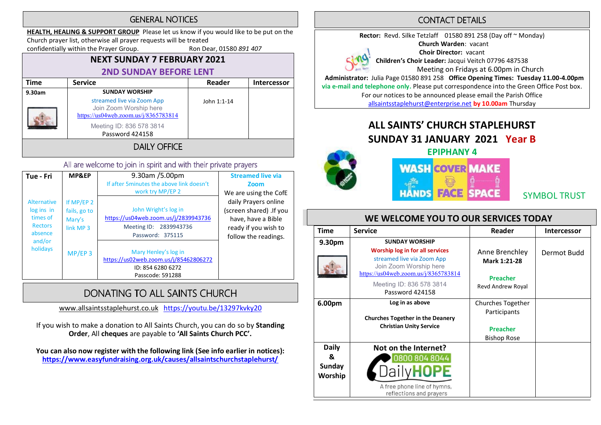### **GENERAL NOTICES**

HEALTH, HEALING & SUPPORT GROUP Please let us know if you would like to be put on the Church prayer list, otherwise all prayer requests will be treated

confidentially within the Prayer Group. Ron Dear, 01580 891 407

## NEXT SUNDAY 7 FEBRUARY 2021 2ND SUNDAY BEFORE LENT

| Time   | <b>Service</b>                                                                               | Reader      | <b>Intercessor</b> |
|--------|----------------------------------------------------------------------------------------------|-------------|--------------------|
| 9.30am | <b>SUNDAY WORSHIP</b>                                                                        |             |                    |
|        | streamed live via Zoom App<br>Join Zoom Worship here<br>https://us04web.zoom.us/j/8365783814 | John 1:1-14 |                    |
|        | Meeting ID: 836 578 3814<br>Password 424158                                                  |             |                    |
|        | <b>DAILY OFFICE</b>                                                                          |             |                    |

### All are welcome to join in spirit and with their private prayers

| Tue - Fri                                                                 | MP&EP                                             | 9.30am /5.00pm<br>If after 5 minutes the above link doesn't<br>work try MP/EP 2                               | <b>Streamed live via</b><br>Zoom<br>We are using the CofE                                                             |
|---------------------------------------------------------------------------|---------------------------------------------------|---------------------------------------------------------------------------------------------------------------|-----------------------------------------------------------------------------------------------------------------------|
| <b>Alternative</b><br>log ins in<br>times of<br><b>Rectors</b><br>absence | If MP/EP 2<br>fails, go to<br>Mary's<br>link MP 3 | John Wright's log in<br>https://us04web.zoom.us/j/2839943736<br>Meeting ID:<br>2839943736<br>Password: 375115 | daily Prayers online<br>(screen shared) .If you<br>have, have a Bible<br>ready if you wish to<br>follow the readings. |
| and/or<br>holidays                                                        | $MP/EP$ 3                                         | Mary Henley's log in<br>https://us02web.zoom.us/j/85462806272<br>ID: 854 6280 6272<br>Passcode: 591288        |                                                                                                                       |

# DONATING TO ALL SAINTS CHURCH

www.allsaintsstaplehurst.co.uk https://youtu.be/13297kvky20

If you wish to make a donation to All Saints Church, you can do so by Standing Order, All cheques are payable to 'All Saints Church PCC'.

You can also now register with the following link (See info earlier in notices): https://www.easyfundraising.org.uk/causes/allsaintschurchstaplehurst/

## **CONTACT DETAILS**

Rector: Revd. Silke Tetzlaff 01580 891 258 (Day off ~ Monday) Church Warden: vacant Choir Director: vacant Children's Choir Leader: Jacqui Veitch 07796 487538 Meeting on Fridays at 6.00pm in Church Administrator: Julia Page 01580 891 258 Office Opening Times: Tuesday 11.00-4.00pm via e-mail and telephone only. Please put correspondence into the Green Office Post box. For our notices to be announced please email the Parish Office

allsaintsstaplehurst@enterprise.net by 10.00am Thursday

# ALL SAINTS' CHURCH STAPLEHURST SUNDAY 31 JANUARY 2021 Year B



EPIPHANY 4 **WASH COVER MAKE FACE HANDS** 

SYMBOL TRUST

### WE WELCOME YOU TO OUR SERVICES TODAY

| <b>Time</b>                                   | <b>Service</b>                                                                                                                                           | Reader                                                                     | <b>Intercessor</b> |
|-----------------------------------------------|----------------------------------------------------------------------------------------------------------------------------------------------------------|----------------------------------------------------------------------------|--------------------|
| 9.30 <sub>pm</sub>                            | <b>SUNDAY WORSHIP</b><br>Worship log in for all services<br>streamed live via Zoom App<br>Join Zoom Worship here<br>https://us04web.zoom.us/j/8365783814 | Anne Brenchley<br>Mark 1:21-28<br><b>Preacher</b>                          | Dermot Budd        |
|                                               | Meeting ID: 836 578 3814<br>Password 424158                                                                                                              | Revd Andrew Royal                                                          |                    |
| 6.00pm                                        | Log in as above<br><b>Churches Together in the Deanery</b><br><b>Christian Unity Service</b>                                                             | Churches Together<br>Participants<br><b>Preacher</b><br><b>Bishop Rose</b> |                    |
| <b>Daily</b><br>&<br><b>Sunday</b><br>Worship | Not on the Internet?<br>0800 804 8044<br>A free phone line of hymns,<br>reflections and prayers                                                          |                                                                            |                    |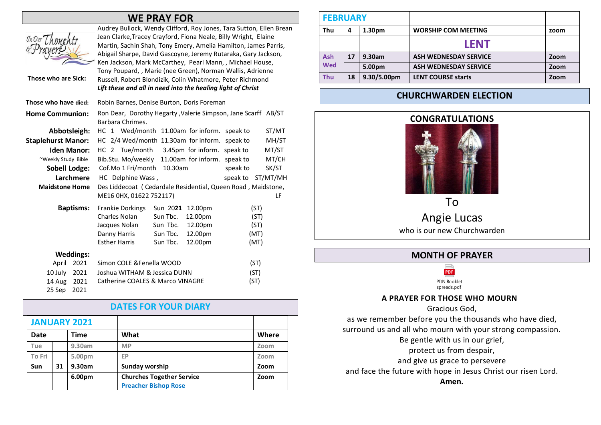|                           |                    | <b>WE PRAY FOR</b>                                                                                                                                                                                                                                                                                                                                                                                                                                                                                                                |       |
|---------------------------|--------------------|-----------------------------------------------------------------------------------------------------------------------------------------------------------------------------------------------------------------------------------------------------------------------------------------------------------------------------------------------------------------------------------------------------------------------------------------------------------------------------------------------------------------------------------|-------|
| Those who are Sick:       |                    | Audrey Bullock, Wendy Clifford, Roy Jones, Tara Sutton, Ellen Brean<br>Jean Clarke, Tracey Crayford, Fiona Neale, Billy Wright, Elaine<br>Martin, Sachin Shah, Tony Emery, Amelia Hamilton, James Parris,<br>Abigail Sharpe, David Gascoyne, Jeremy Rutaraka, Gary Jackson,<br>Ken Jackson, Mark McCarthey, Pearl Mann, , Michael House,<br>Tony Poupard,, Marie (nee Green), Norman Wallis, Adrienne<br>Russell, Robert Blondizik, Colin Whatmore, Peter Richmond<br>Lift these and all in need into the healing light of Christ |       |
| Those who have died:      |                    | Robin Barnes, Denise Burton, Doris Foreman                                                                                                                                                                                                                                                                                                                                                                                                                                                                                        |       |
| <b>Home Communion:</b>    |                    | Ron Dear, Dorothy Hegarty, Valerie Simpson, Jane Scarff AB/ST<br>Barbara Chrimes.                                                                                                                                                                                                                                                                                                                                                                                                                                                 |       |
| Abbotsleigh:              |                    | HC 1 Wed/month 11.00am for inform. speak to                                                                                                                                                                                                                                                                                                                                                                                                                                                                                       | ST/MT |
| <b>Staplehurst Manor:</b> |                    | HC 2/4 Wed/month 11.30am for inform. speak to                                                                                                                                                                                                                                                                                                                                                                                                                                                                                     | MH/ST |
|                           | <b>Iden Manor:</b> | HC 2 Tue/month 3.45pm for inform. speak to                                                                                                                                                                                                                                                                                                                                                                                                                                                                                        | MT/ST |
| ~Weekly Study Bible       |                    | Bib.Stu. Mo/weekly 11.00am for inform. speak to                                                                                                                                                                                                                                                                                                                                                                                                                                                                                   | MT/CH |
| <b>Sobell Lodge:</b>      |                    | Cof.Mo 1 Fri/month 10.30am<br>speak to                                                                                                                                                                                                                                                                                                                                                                                                                                                                                            | SK/ST |
|                           | Larchmere          | ST/MT/MH<br>HC Delphine Wass,<br>speak to                                                                                                                                                                                                                                                                                                                                                                                                                                                                                         |       |
| <b>Maidstone Home</b>     |                    | Des Liddecoat (Cedardale Residential, Queen Road, Maidstone,                                                                                                                                                                                                                                                                                                                                                                                                                                                                      |       |
|                           |                    | ME16 0HX, 01622 752117)                                                                                                                                                                                                                                                                                                                                                                                                                                                                                                           | LF    |
|                           | <b>Baptisms:</b>   | <b>Frankie Dorkings</b><br>Sun 2021<br>12.00pm<br>(ST)                                                                                                                                                                                                                                                                                                                                                                                                                                                                            |       |
|                           |                    | Charles Nolan<br>Sun Tbc.<br>12.00pm<br>(ST)                                                                                                                                                                                                                                                                                                                                                                                                                                                                                      |       |
|                           |                    | Sun Tbc.<br>12.00pm<br>Jacques Nolan<br>(ST)                                                                                                                                                                                                                                                                                                                                                                                                                                                                                      |       |
|                           |                    | Danny Harris<br>Sun Tbc.<br>12.00pm<br>(MT)<br><b>Esther Harris</b><br>Sun Tbc.<br>12.00pm<br>(MT)                                                                                                                                                                                                                                                                                                                                                                                                                                |       |
|                           |                    |                                                                                                                                                                                                                                                                                                                                                                                                                                                                                                                                   |       |
|                           | <b>Weddings:</b>   |                                                                                                                                                                                                                                                                                                                                                                                                                                                                                                                                   |       |
| April                     | 2021               | Simon COLE & Fenella WOOD<br>(ST)                                                                                                                                                                                                                                                                                                                                                                                                                                                                                                 |       |
| 10 July<br>14 Aug         | 2021<br>2021       | Joshua WITHAM & Jessica DUNN<br>(ST)<br>Catherine COALES & Marco VINAGRE<br>(ST)                                                                                                                                                                                                                                                                                                                                                                                                                                                  |       |
| 25 Sep                    | 2021               |                                                                                                                                                                                                                                                                                                                                                                                                                                                                                                                                   |       |
|                           |                    |                                                                                                                                                                                                                                                                                                                                                                                                                                                                                                                                   |       |

|        |    |                     | <b>DATES FOR YOUR DIARY</b>      |       |
|--------|----|---------------------|----------------------------------|-------|
|        |    | <b>JANUARY 2021</b> |                                  |       |
| Date   |    | <b>Time</b>         | What                             | Where |
| Tue    |    | 9.30am              | <b>MP</b>                        | Zoom  |
| To Fri |    | 5.00pm              | EP                               | Zoom  |
| Sun    | 31 | 9.30am              | Sunday worship                   | Zoom  |
|        |    | 6.00pm              | <b>Churches Together Service</b> | Zoom  |
|        |    |                     | <b>Preacher Bishop Rose</b>      |       |

| <b>FEBRUARY</b> |    |                    |                              |      |
|-----------------|----|--------------------|------------------------------|------|
| Thu             | 4  | 1.30 <sub>pm</sub> | <b>WORSHIP COM MEETING</b>   | zoom |
|                 |    |                    | <b>LENT</b>                  |      |
| <b>Ash</b>      | 17 | 9.30am             | <b>ASH WEDNESDAY SERVICE</b> | Zoom |
| <b>Wed</b>      |    | 5.00pm             | <b>ASH WEDNESDAY SERVICE</b> | Zoom |
| <b>Thu</b>      | 18 | 9.30/5.00pm        | <b>LENT COURSE starts</b>    | Zoom |

## CHURCHWARDEN ELECTION



Angie Lucas who is our new Churchwarden

### MONTH OF PRAYER

PDF PftN Booklet spreads.pdf

### A PRAYER FOR THOSE WHO MOURN

Gracious God,

as we remember before you the thousands who have died, surround us and all who mourn with your strong compassion.

- Be gentle with us in our grief,
- protect us from despair,

and give us grace to persevere

and face the future with hope in Jesus Christ our risen Lord.

Amen.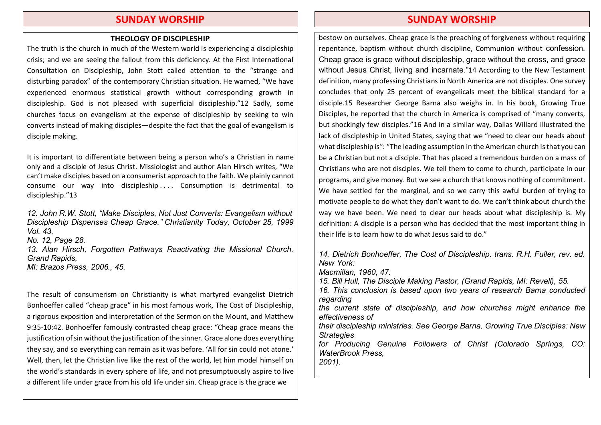### SUNDAY WORSHIP

#### THEOLOGY OF DISCIPLESHIP

The truth is the church in much of the Western world is experiencing a discipleship crisis; and we are seeing the fallout from this deficiency. At the First International Consultation on Discipleship, John Stott called attention to the "strange and disturbing paradox" of the contemporary Christian situation. He warned, "We have experienced enormous statistical growth without corresponding growth in discipleship. God is not pleased with superficial discipleship."12 Sadly, some churches focus on evangelism at the expense of discipleship by seeking to win converts instead of making disciples—despite the fact that the goal of evangelism is disciple making.

It is important to differentiate between being a person who's a Christian in name only and a disciple of Jesus Christ. Missiologist and author Alan Hirsch writes, "We can't make disciples based on a consumerist approach to the faith. We plainly cannot consume our way into discipleship . . . . Consumption is detrimental to discipleship."13

*12. John R.W. Stott,* "*Make Disciples, Not Just Converts: Evangelism without Discipleship Dispenses Cheap Grace.*" *Christianity Today, October 25, 1999 Vol. 43, No. 12, Page 28. 13. Alan Hirsch, Forgotten Pathways Reactivating the Missional Church. Grand Rapids, MI: Brazos Press, 2006., 45.* 

The result of consumerism on Christianity is what martyred evangelist Dietrich Bonhoeffer called "cheap grace" in his most famous work, The Cost of Discipleship, a rigorous exposition and interpretation of the Sermon on the Mount, and Matthew 9:35-10:42. Bonhoeffer famously contrasted cheap grace: "Cheap grace means the justification of sin without the justification of the sinner. Grace alone does everything they say, and so everything can remain as it was before. 'All for sin could not atone.' Well, then, let the Christian live like the rest of the world, let him model himself on the world's standards in every sphere of life, and not presumptuously aspire to live a different life under grace from his old life under sin. Cheap grace is the grace we

### SUNDAY WORSHIP

bestow on ourselves. Cheap grace is the preaching of forgiveness without requiring repentance, baptism without church discipline, Communion without confession. Cheap grace is grace without discipleship, grace without the cross, and grace without Jesus Christ, living and incarnate."14 According to the New Testament definition, many professing Christians in North America are not disciples. One survey concludes that only 25 percent of evangelicals meet the biblical standard for a disciple.15 Researcher George Barna also weighs in. In his book, Growing True Disciples, he reported that the church in America is comprised of "many converts, but shockingly few disciples."16 And in a similar way, Dallas Willard illustrated the lack of discipleship in United States, saying that we "need to clear our heads about what discipleship is": "The leading assumption in the American church is that you can be a Christian but not a disciple. That has placed a tremendous burden on a mass of Christians who are not disciples. We tell them to come to church, participate in our programs, and give money. But we see a church that knows nothing of commitment. We have settled for the marginal, and so we carry this awful burden of trying to motivate people to do what they don't want to do. We can't think about church the way we have been. We need to clear our heads about what discipleship is. My definition: A disciple is a person who has decided that the most important thing in their life is to learn how to do what Jesus said to do."

*14. Dietrich Bonhoeffer, The Cost of Discipleship. trans. R.H. Fuller, rev. ed. New York:*

*Macmillan, 1960, 47.*

*15. Bill Hull, The Disciple Making Pastor, (Grand Rapids, MI: Revell), 55.*

*16. This conclusion is based upon two years of research Barna conducted regarding*

*the current state of discipleship, and how churches might enhance the effectiveness of*

*their discipleship ministries. See George Barna, Growing True Disciples: New Strategies*

*for Producing Genuine Followers of Christ (Colorado Springs, CO: WaterBrook Press, 2001).*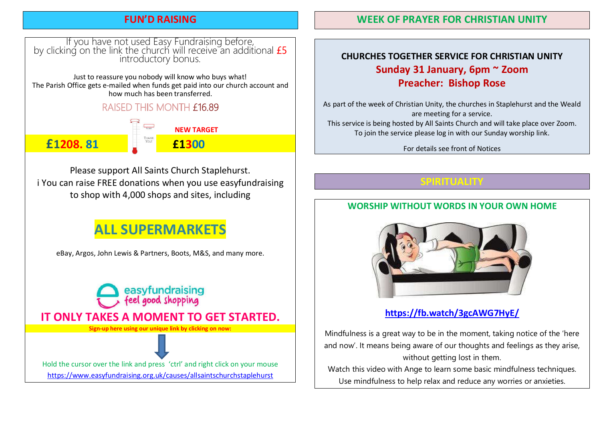## FUN'D RAISING

# If you have not used Easy Fundraising before,<br>by clicking on the link the church will receive an additional *£5* introductory bonus.

Just to reassure you nobody will know who buys what! The Parish Office gets e-mailed when funds get paid into our church account and how much has been transferred.

# **RAISED THIS MONTH £16.89**

£1208. 81 £1300

NEW TARGET

Please support All Saints Church Staplehurst. i You can raise FREE donations when you use easyfundraising to shop with 4,000 shops and sites, including

# ALL SUPERMARKETS

eBay, Argos, John Lewis & Partners, Boots, M&S, and many more.



## WEEK OF PRAYER FOR CHRISTIAN UNITY

# CHURCHES TOGETHER SERVICE FOR CHRISTIAN UNITY Sunday 31 January, 6pm ~ Zoom Preacher: Bishop Rose

As part of the week of Christian Unity, the churches in Staplehurst and the Weald are meeting for a service. This service is being hosted by All Saints Church and will take place over Zoom. To join the service please log in with our Sunday worship link.

For details see front of Notices

SPIRITUALITY

## WORSHIP WITHOUT WORDS IN YOUR OWN HOME



# https://fb.watch/3gcAWG7HyE/

Mindfulness is a great way to be in the moment, taking notice of the 'here and now'. It means being aware of our thoughts and feelings as they arise, without getting lost in them.

Watch this video with Ange to learn some basic mindfulness techniques. Use mindfulness to help relax and reduce any worries or anxieties.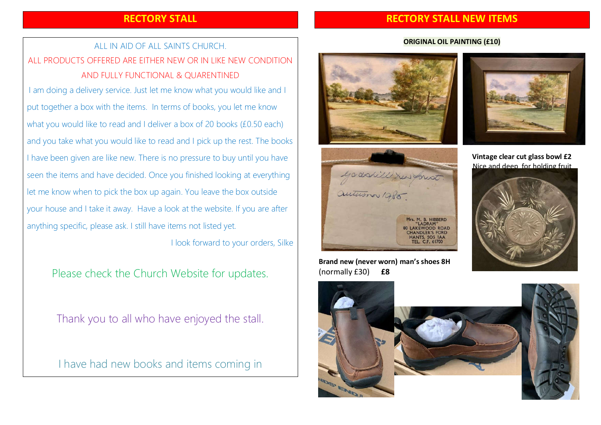## RECTORY STALL

## RECTORY STALL NEW ITEMS

# ALL IN AID OF ALL SAINTS CHURCH. ALL PRODUCTS OFFERED ARE EITHER NEW OR IN LIKE NEW CONDITION AND FULLY FUNCTIONAL & QUARENTINED

I am doing a delivery service. Just let me know what you would like and I put together a box with the items. In terms of books, you let me know what you would like to read and I deliver a box of 20 books (£0.50 each) and you take what you would like to read and I pick up the rest. The books I have been given are like new. There is no pressure to buy until you have seen the items and have decided. Once you finished looking at everything let me know when to pick the box up again. You leave the box outside your house and I take it away. Have a look at the website. If you are after anything specific, please ask. I still have items not listed yet.

I look forward to your orders, Silke

Please check the Church Website for updates.

Thank you to all who have enjoyed the stall.

I have had new books and items coming in

#### ORIGINAL OIL PAINTING (£10)





Brand new (never worn) man's shoes 8H (normally £30) £8



Vintage clear cut glass bowl £2